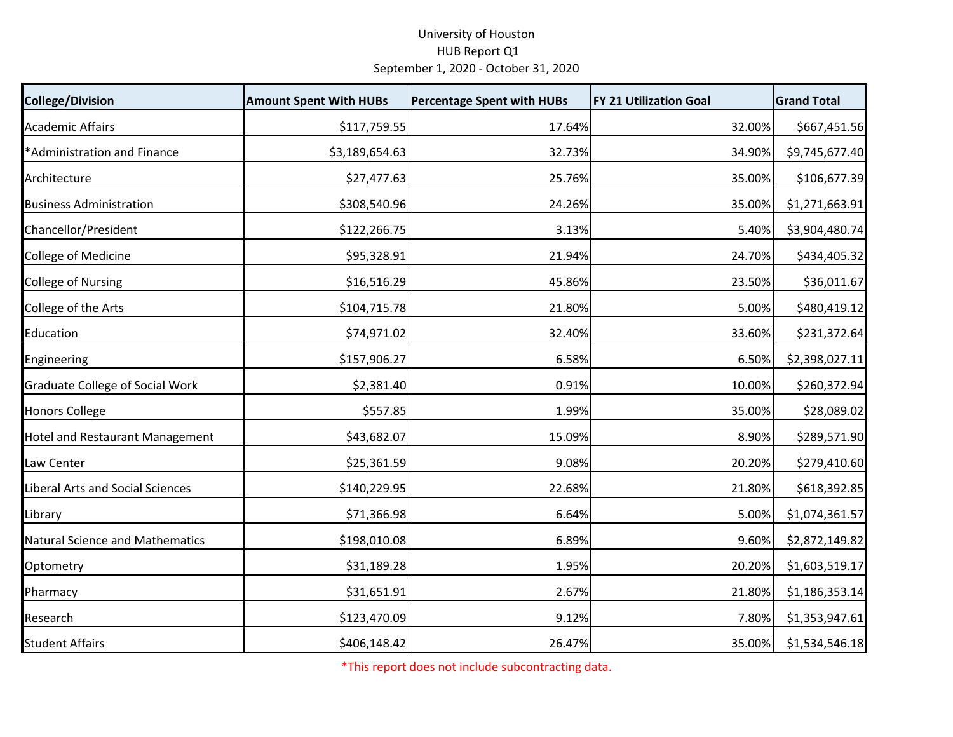## University of Houston HUB Report Q1 September 1, 2020 ‐ October 31, 2020

| <b>College/Division</b>                | <b>Amount Spent With HUBs</b> | <b>Percentage Spent with HUBs</b> | <b>FY 21 Utilization Goal</b> | <b>Grand Total</b> |
|----------------------------------------|-------------------------------|-----------------------------------|-------------------------------|--------------------|
| <b>Academic Affairs</b>                | \$117,759.55                  | 17.64%                            | 32.00%                        | \$667,451.56       |
| *Administration and Finance            | \$3,189,654.63                | 32.73%                            | 34.90%                        | \$9,745,677.40     |
| Architecture                           | \$27,477.63                   | 25.76%                            | 35.00%                        | \$106,677.39       |
| <b>Business Administration</b>         | \$308,540.96                  | 24.26%                            | 35.00%                        | \$1,271,663.91     |
| Chancellor/President                   | \$122,266.75                  | 3.13%                             | 5.40%                         | \$3,904,480.74     |
| College of Medicine                    | \$95,328.91                   | 21.94%                            | 24.70%                        | \$434,405.32       |
| <b>College of Nursing</b>              | \$16,516.29                   | 45.86%                            | 23.50%                        | \$36,011.67        |
| College of the Arts                    | \$104,715.78                  | 21.80%                            | 5.00%                         | \$480,419.12       |
| Education                              | \$74,971.02                   | 32.40%                            | 33.60%                        | \$231,372.64       |
| Engineering                            | \$157,906.27                  | 6.58%                             | 6.50%                         | \$2,398,027.11     |
| <b>Graduate College of Social Work</b> | \$2,381.40                    | 0.91%                             | 10.00%                        | \$260,372.94       |
| <b>Honors College</b>                  | \$557.85                      | 1.99%                             | 35.00%                        | \$28,089.02        |
| <b>Hotel and Restaurant Management</b> | \$43,682.07                   | 15.09%                            | 8.90%                         | \$289,571.90       |
| Law Center                             | \$25,361.59                   | 9.08%                             | 20.20%                        | \$279,410.60       |
| Liberal Arts and Social Sciences       | \$140,229.95                  | 22.68%                            | 21.80%                        | \$618,392.85       |
| Library                                | \$71,366.98                   | 6.64%                             | 5.00%                         | \$1,074,361.57     |
| <b>Natural Science and Mathematics</b> | \$198,010.08                  | 6.89%                             | 9.60%                         | \$2,872,149.82     |
| Optometry                              | \$31,189.28                   | 1.95%                             | 20.20%                        | \$1,603,519.17     |
| Pharmacy                               | \$31,651.91                   | 2.67%                             | 21.80%                        | \$1,186,353.14     |
| Research                               | \$123,470.09                  | 9.12%                             | 7.80%                         | \$1,353,947.61     |
| <b>Student Affairs</b>                 | \$406,148.42                  | 26.47%                            | 35.00%                        | \$1,534,546.18     |

\*This report does not include subcontracting data.